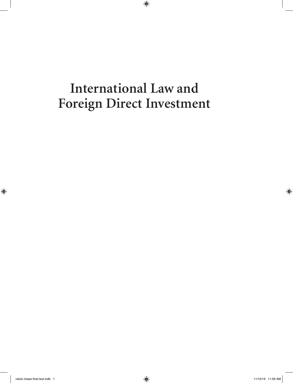# **International Law and Foreign Direct Investment**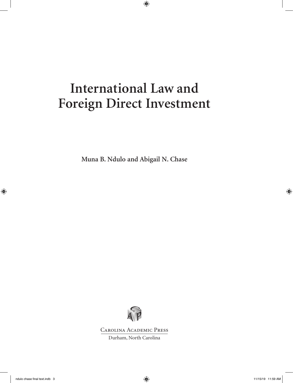# **International Law and Foreign Direct Investment**

**Muna B. Ndulo and Abigail N. Chase**



Carolina Academic Press Durham, North Carolina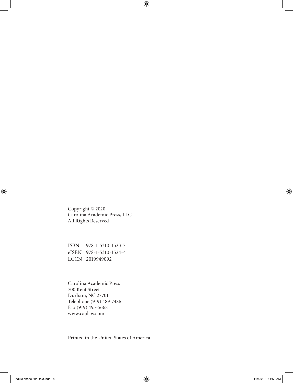Copyright © 2020 Carolina Academic Press, LLC All Rights Reserved

ISBN 978-1-5310-1523-7 eISBN 978-1-5310-1524-4 LCCN 2019949092

Carolina Academic Press 700 Kent Street Durham, NC 27701 Telephone (919) 489-7486 Fax (919) 493-5668 www.caplaw.com

Printed in the United States of America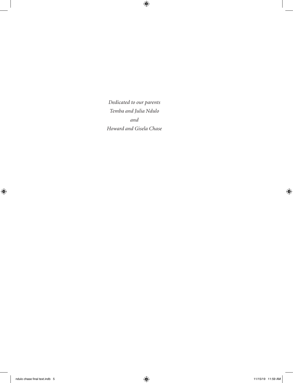*Dedicated to our parents Temba and Julia Ndulo and Howard and Gisela Chase*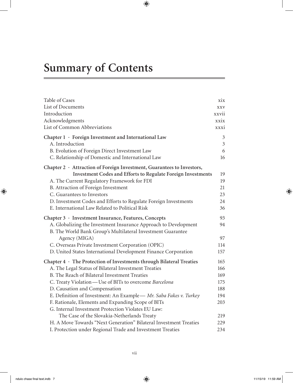# **Summary of Contents**

| Table of Cases                                                             | xix            |
|----------------------------------------------------------------------------|----------------|
| List of Documents                                                          | <b>XXV</b>     |
| Introduction                                                               | xxvii          |
| Acknowledgments                                                            | xxix           |
| List of Common Abbreviations                                               | xxxi           |
| Chapter 1 · Foreign Investment and International Law                       | $\mathfrak{Z}$ |
| A. Introduction                                                            | $\mathfrak{Z}$ |
| B. Evolution of Foreign Direct Investment Law                              | 6              |
| C. Relationship of Domestic and International Law                          | 16             |
| Chapter 2 · Attraction of Foreign Investment, Guarantees to Investors,     |                |
| <b>Investment Codes and Efforts to Regulate Foreign Investments</b>        | 19             |
| A. The Current Regulatory Framework for FDI                                | 19             |
| B. Attraction of Foreign Investment                                        | 21             |
| C. Guarantees to Investors                                                 | 23             |
| D. Investment Codes and Efforts to Regulate Foreign Investments            | 24             |
| E. International Law Related to Political Risk                             | 36             |
| Chapter 3 · Investment Insurance, Features, Concepts                       | 93             |
| A. Globalizing the Investment Insurance Approach to Development            | 94             |
| B. The World Bank Group's Multilateral Investment Guarantee                |                |
| Agency (MIGA)                                                              | 97             |
| C. Overseas Private Investment Corporation (OPIC)                          | 114            |
| D. United States International Development Finance Corporation             | 157            |
| Chapter $4 \cdot$ The Protection of Investments through Bilateral Treaties | 165            |
| A. The Legal Status of Bilateral Investment Treaties                       | 166            |
| B. The Reach of Bilateral Investment Treaties                              | 169            |
| C. Treaty Violation - Use of BITs to overcome Barcelona                    | 175            |
| D. Causation and Compensation                                              | 188            |
| E. Definition of Investment: An Example - Mr. Saba Fakes v. Turkey         | 194            |
| F. Rationale, Elements and Expanding Scope of BITs                         | 203            |
| G. Internal Investment Protection Violates EU Law:                         |                |
| The Case of the Slovakia-Netherlands Treaty                                | 219            |
| H. A Move Towards "Next Generation" Bilateral Investment Treaties          | 229            |
| I. Protection under Regional Trade and Investment Treaties                 | 234            |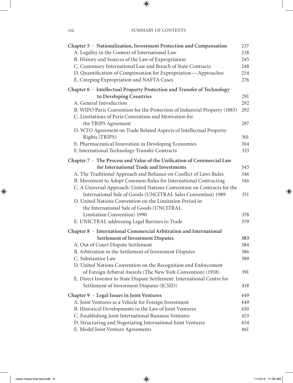| Chapter $5$ $\cdot$ Nationalization, Investment Protection and Compensation                                                        | 237 |
|------------------------------------------------------------------------------------------------------------------------------------|-----|
| A. Legality in the Context of International Law                                                                                    | 238 |
| B. History and Sources of the Law of Expropriation                                                                                 | 245 |
| C. Customary International Law and Breach of State Contracts                                                                       | 248 |
| D. Quantification of Compensation for Expropriation—Approaches                                                                     | 254 |
| E. Creeping Expropriation and NAFTA Cases                                                                                          | 276 |
| Chapter 6 · Intellectual Property Protection and Transfer of Technology                                                            |     |
| to Developing Countries                                                                                                            | 291 |
| A. General Introduction                                                                                                            | 292 |
| B. WIPO Paris Convention for the Protection of Industrial Property (1883)<br>C. Limitations of Paris Convention and Motivation for | 292 |
| the TRIPS Agreement                                                                                                                | 297 |
| D. WTO Agreement on Trade Related Aspects of Intellectual Property                                                                 |     |
| Rights (TRIPS)                                                                                                                     | 301 |
| E. Pharmaceutical Innovation in Developing Economies                                                                               | 304 |
| F. International Technology Transfer Contracts                                                                                     | 333 |
| Chapter 7 · The Process and Value of the Unification of Commercial Law                                                             |     |
| for International Trade and Investments                                                                                            | 345 |
| A. The Traditional Approach and Reliance on Conflict of Laws Rules                                                                 | 346 |
| B. Movement to Adopt Common Rules for International Contracting                                                                    | 346 |
| C. A Universal Approach: United Nations Convention on Contracts for the                                                            |     |
| International Sale of Goods (UNCITRAL Sales Convention) 1989                                                                       | 351 |
| D. United Nations Convention on the Limitation Period in                                                                           |     |
| the International Sale of Goods (UNCITRAL                                                                                          |     |
| Limitation Convention) 1990                                                                                                        | 378 |
| E. UNICTRAL addressing Legal Barriers to Trade                                                                                     | 379 |
| Chapter $8 \cdot$ International Commercial Arbitration and International                                                           |     |
| <b>Settlement of Investment Disputes</b>                                                                                           | 383 |
| A. Out of Court Dispute Settlement                                                                                                 | 384 |
| B. Arbitration in the Settlement of Investment Disputes                                                                            | 386 |
| C. Substantive Law                                                                                                                 | 389 |
| D. United Nations Convention on the Recognition and Enforcement                                                                    |     |
| of Foreign Arbitral Awards (The New York Convention) (1958)                                                                        | 391 |
| E. Direct Investor to State Dispute Settlement: International Centre for                                                           |     |
| Settlement of Investment Disputes (ICSID)                                                                                          | 418 |
| Chapter 9 · Legal Issues in Joint Ventures                                                                                         | 449 |
| A. Joint Ventures as a Vehicle for Foreign Investment                                                                              | 449 |
| B. Historical Developments in the Law of Joint Ventures                                                                            | 450 |
| C. Establishing Joint International Business Ventures                                                                              | 453 |
| D. Structuring and Negotiating International Joint Ventures                                                                        | 454 |
| E. Model Joint Venture Agreements                                                                                                  | 461 |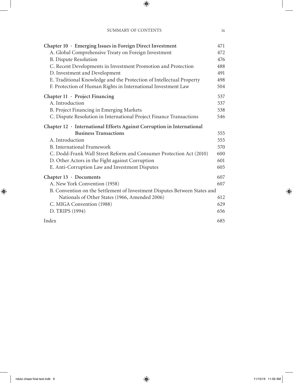| Chapter 10 · Emerging Issues in Foreign Direct Investment<br>A. Global Comprehensive Treaty on Foreign Investment<br><b>B.</b> Dispute Resolution<br>C. Recent Developments in Investment Promotion and Protection | 471<br>472<br>476<br>488 |
|--------------------------------------------------------------------------------------------------------------------------------------------------------------------------------------------------------------------|--------------------------|
| D. Investment and Development                                                                                                                                                                                      | 491                      |
| E. Traditional Knowledge and the Protection of Intellectual Property                                                                                                                                               | 498                      |
| F. Protection of Human Rights in International Investment Law                                                                                                                                                      | 504                      |
| Chapter $11 \cdot$ Project Financing                                                                                                                                                                               | 537                      |
| A. Introduction                                                                                                                                                                                                    | 537                      |
| B. Project Financing in Emerging Markets                                                                                                                                                                           | 538                      |
| C. Dispute Resolution in International Project Finance Transactions                                                                                                                                                | 546                      |
| Chapter $12 \cdot$ International Efforts Against Corruption in International                                                                                                                                       |                          |
| <b>Business Transactions</b>                                                                                                                                                                                       | 555                      |
| A. Introduction                                                                                                                                                                                                    | 555                      |
| <b>B.</b> International Framework                                                                                                                                                                                  | 570                      |
| C. Dodd-Frank Wall Street Reform and Consumer Protection Act (2010)                                                                                                                                                | 600                      |
| D. Other Actors in the Fight against Corruption                                                                                                                                                                    | 601                      |
| E. Anti-Corruption Law and Investment Disputes                                                                                                                                                                     | 605                      |
| Chapter $13 \cdot$ Documents                                                                                                                                                                                       | 607                      |
| A. New York Convention (1958)                                                                                                                                                                                      | 607                      |
| B. Convention on the Settlement of Investment Disputes Between States and                                                                                                                                          |                          |
| Nationals of Other States (1966, Amended 2006)                                                                                                                                                                     | 612                      |
| C. MIGA Convention (1988)                                                                                                                                                                                          | 629                      |
| D. TRIPS (1994)                                                                                                                                                                                                    | 656                      |
| Index                                                                                                                                                                                                              | 685                      |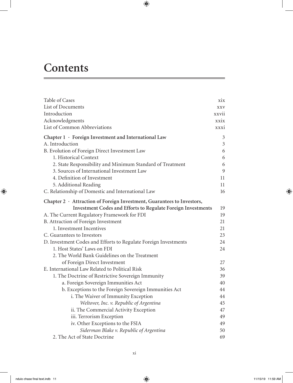## **Contents**

| Table of Cases                                                         | xix            |
|------------------------------------------------------------------------|----------------|
| List of Documents                                                      | <b>XXV</b>     |
| Introduction                                                           | xxvii          |
| Acknowledgments                                                        | xxix           |
| List of Common Abbreviations                                           | xxxi           |
| Chapter 1 · Foreign Investment and International Law                   | $\mathfrak{Z}$ |
| A. Introduction                                                        | $\mathfrak{Z}$ |
| B. Evolution of Foreign Direct Investment Law                          | 6              |
| 1. Historical Context                                                  | 6              |
| 2. State Responsibility and Minimum Standard of Treatment              | 6              |
| 3. Sources of International Investment Law                             | 9              |
| 4. Definition of Investment                                            | 11             |
| 5. Additional Reading                                                  | 11             |
| C. Relationship of Domestic and International Law                      | 16             |
| Chapter 2 · Attraction of Foreign Investment, Guarantees to Investors, |                |
| <b>Investment Codes and Efforts to Regulate Foreign Investments</b>    | 19             |
| A. The Current Regulatory Framework for FDI                            | 19             |
| B. Attraction of Foreign Investment                                    | 21             |
| 1. Investment Incentives                                               | 21             |
| C. Guarantees to Investors                                             | 23             |
| D. Investment Codes and Efforts to Regulate Foreign Investments        | 24             |
| 1. Host States' Laws on FDI                                            |                |
| 2. The World Bank Guidelines on the Treatment                          |                |
| of Foreign Direct Investment                                           | 27             |
| E. International Law Related to Political Risk                         | 36             |
| 1. The Doctrine of Restrictive Sovereign Immunity                      | 39             |
| a. Foreign Sovereign Immunities Act                                    | 40             |
| b. Exceptions to the Foreign Sovereign Immunities Act                  | 44             |
| i. The Waiver of Immunity Exception                                    | 44             |
| Weltover, Inc. v. Republic of Argentina                                | 45             |
| ii. The Commercial Activity Exception                                  | 47             |
| iii. Terrorism Exception                                               | 49             |
| iv. Other Exceptions to the FSIA                                       | 49             |
| Siderman Blake v. Republic of Argentina                                | 50             |
| 2. The Act of State Doctrine                                           | 69             |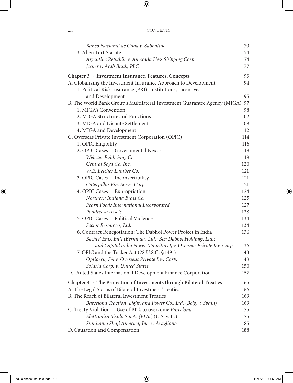| Banco Nacional de Cuba v. Sabbatino                                        | 70  |
|----------------------------------------------------------------------------|-----|
| 3. Alien Tort Statute                                                      | 74  |
| Argentine Republic v. Amerada Hess Shipping Corp.                          | 74  |
| Jesner v. Arab Bank, PLC                                                   | 77  |
| Chapter 3 · Investment Insurance, Features, Concepts                       | 93  |
| A. Globalizing the Investment Insurance Approach to Development            | 94  |
| 1. Political Risk Insurance (PRI): Institutions, Incentives                |     |
| and Development                                                            | 95  |
| B. The World Bank Group's Multilateral Investment Guarantee Agency (MIGA)  | 97  |
| 1. MIGA's Convention                                                       | 98  |
| 2. MIGA Structure and Functions                                            | 102 |
| 3. MIGA and Dispute Settlement                                             | 108 |
| 4. MIGA and Development                                                    | 112 |
| C. Overseas Private Investment Corporation (OPIC)                          | 114 |
| 1. OPIC Eligibility                                                        | 116 |
| 2. OPIC Cases - Governmental Nexus                                         | 119 |
| Webster Publishing Co.                                                     | 119 |
| Central Soya Co. Inc.                                                      | 120 |
| W.E. Belcher Lumber Co.                                                    | 121 |
| 3. OPIC Cases - Inconvertibility                                           | 121 |
| Caterpillar Fin. Servs. Corp.                                              | 121 |
| 4. OPIC Cases - Expropriation                                              | 124 |
| Northern Indiana Brass Co.                                                 | 125 |
| Fearn Foods International Incorporated                                     | 127 |
| Ponderosa Assets                                                           | 128 |
| 5. OPIC Cases - Political Violence                                         | 134 |
| Sector Resources, Ltd.                                                     | 134 |
| 6. Contract Renegotiation: The Dabhol Power Project in India               | 136 |
| Bechtel Ents. Int'l (Bermuda) Ltd.; Ben Dabhol Holdings, Ltd.;             |     |
| and Capital India Power Mauritius I, v. Overseas Private Inv. Corp.        | 136 |
| 7. OPIC and the Tucker Act (28 U.S.C. § 1491)                              | 143 |
| Optiperu, SA v. Overseas Private Inv. Corp.                                | 143 |
| Solaria Corp. v. United States                                             | 150 |
| D. United States International Development Finance Corporation             | 157 |
| Chapter $4 \cdot$ The Protection of Investments through Bilateral Treaties | 165 |
| A. The Legal Status of Bilateral Investment Treaties                       | 166 |
| B. The Reach of Bilateral Investment Treaties                              | 169 |
| Barcelona Traction, Light, and Power Co., Ltd. (Belg. v. Spain)            | 169 |
| C. Treaty Violation - Use of BITs to overcome Barcelona                    | 175 |
| Elettronica Sicula S.p.A. (ELSI) (U.S. v. It.)                             | 175 |
| Sumitomo Shoji America, Inc. v. Avagliano                                  | 185 |
| D. Causation and Compensation                                              | 188 |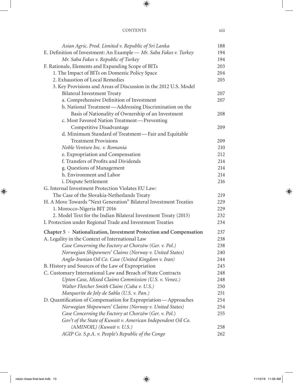| Asian Agric. Prod. Limited v. Republic of Sri Lanka                       | 188 |
|---------------------------------------------------------------------------|-----|
| E. Definition of Investment: An Example - Mr. Saba Fakes v. Turkey        | 194 |
| Mr. Saba Fakes v. Republic of Turkey                                      | 194 |
| F. Rationale, Elements and Expanding Scope of BITs                        | 203 |
| 1. The Impact of BITs on Domestic Policy Space                            | 204 |
| 2. Exhaustion of Local Remedies                                           | 205 |
| 3. Key Provisions and Areas of Discussion in the 2012 U.S. Model          |     |
| <b>Bilateral Investment Treaty</b>                                        | 207 |
| a. Comprehensive Definition of Investment                                 | 207 |
| b. National Treatment—Addressing Discrimination on the                    |     |
| Basis of Nationality of Ownership of an Investment                        | 208 |
| c. Most Favored Nation Treatment-Preventing                               |     |
| Competitive Disadvantage                                                  | 209 |
| d. Minimum Standard of Treatment—Fair and Equitable                       |     |
| <b>Treatment Provisions</b>                                               | 209 |
| Noble Venture Inc. v. Romania                                             | 210 |
| e. Expropriation and Compensation                                         | 212 |
| f. Transfers of Profits and Dividends                                     | 214 |
| g. Questions of Management                                                | 214 |
| h. Environment and Labor                                                  | 214 |
| i. Dispute Settlement                                                     | 216 |
| G. Internal Investment Protection Violates EU Law:                        |     |
| The Case of the Slovakia-Netherlands Treaty                               | 219 |
| H. A Move Towards "Next Generation" Bilateral Investment Treaties         | 229 |
| 1. Morocco-Nigeria BIT 2016                                               | 229 |
| 2. Model Text for the Indian Bilateral Investment Treaty (2015)           | 232 |
| I. Protection under Regional Trade and Investment Treaties                | 234 |
| Chapter $5 \cdot$ Nationalization, Investment Protection and Compensation | 237 |
| A. Legality in the Context of International Law                           | 238 |
| Case Concerning the Factory at Chorzów (Ger. v. Pol.)                     | 238 |
| Norwegian Shipowners' Claims (Norway v. United States)                    | 240 |
| Anglo-Iranian Oil Co. Case (United Kingdom v. Iran)                       | 244 |
| B. History and Sources of the Law of Expropriation                        | 245 |
| C. Customary International Law and Breach of State Contracts              | 248 |
| Upton Case, Mixed Claims Commission (U.S. v. Venez.)                      | 248 |
| Walter Fletcher Smith Claim (Cuba v. U.S.)                                | 250 |
| Marquerite de Joly de Sabla (U.S. v. Pan.)                                | 251 |
| D. Quantification of Compensation for Expropriation—Approaches            | 254 |
| Norwegian Shipowners' Claims (Norway v. United States)                    | 254 |
| Case Concerning the Factory at Chorzów (Ger. v. Pol.)                     | 255 |
| Gov't of the State of Kuwait v. American Independent Oil Co.              |     |
| (AMINOIL) (Kuwait v. U.S.)                                                | 258 |
| AGIP Co. S.p.A. v. People's Republic of the Congo                         | 262 |
|                                                                           |     |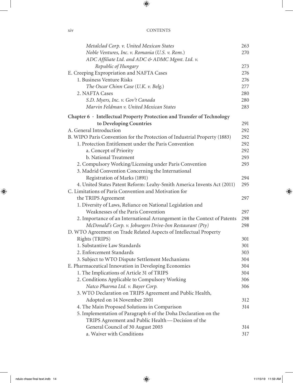| Metalclad Corp. v. United Mexican States                                  | 263 |
|---------------------------------------------------------------------------|-----|
| Noble Ventures, Inc. v. Romania (U.S. v. Rom.)                            | 270 |
| ADC Affiliate Ltd. and ADC & ADMC Mgmt. Ltd. v.                           |     |
| Republic of Hungary                                                       | 273 |
| E. Creeping Expropriation and NAFTA Cases                                 | 276 |
| 1. Business Venture Risks                                                 | 276 |
| The Oscar Chinn Case (U.K. v. Belg.)                                      | 277 |
| 2. NAFTA Cases                                                            | 280 |
| S.D. Myers, Inc. v. Gov't Canada                                          | 280 |
| Marvin Feldman v. United Mexican States                                   | 283 |
| Chapter 6 · Intellectual Property Protection and Transfer of Technology   |     |
| to Developing Countries                                                   | 291 |
| A. General Introduction                                                   | 292 |
| B. WIPO Paris Convention for the Protection of Industrial Property (1883) | 292 |
| 1. Protection Entitlement under the Paris Convention                      | 292 |
| a. Concept of Priority                                                    | 292 |
| b. National Treatment                                                     | 293 |
| 2. Compulsory Working/Licensing under Paris Convention                    | 293 |
| 3. Madrid Convention Concerning the International                         |     |
| Registration of Marks (1891)                                              | 294 |
| 4. United States Patent Reform: Leahy-Smith America Invents Act (2011)    | 295 |
| C. Limitations of Paris Convention and Motivation for                     |     |
| the TRIPS Agreement                                                       | 297 |
| 1. Diversity of Laws, Reliance on National Legislation and                |     |
| Weaknesses of the Paris Convention                                        | 297 |
| 2. Importance of an International Arrangement in the Context of Patents   | 298 |
| McDonald's Corp. v. Joburgers Drive-Inn Restaurant (Pty)                  | 298 |
| D. WTO Agreement on Trade Related Aspects of Intellectual Property        |     |
| Rights (TRIPS)                                                            | 301 |
| 1. Substantive Law Standards                                              | 301 |
| 2. Enforcement Standards                                                  | 303 |
| 3. Subject to WTO Dispute Settlement Mechanisms                           | 304 |
| E. Pharmaceutical Innovation in Developing Economies                      | 304 |
| 1. The Implications of Article 31 of TRIPS                                | 304 |
| 2. Conditions Applicable to Compulsory Working                            | 306 |
| Natco Pharma Ltd. v. Bayer Corp.                                          | 306 |
| 3. WTO Declaration on TRIPS Agreement and Public Health,                  |     |
| Adopted on 14 November 2001                                               | 312 |
| 4. The Main Proposed Solutions in Comparison                              | 314 |
| 5. Implementation of Paragraph 6 of the Doha Declaration on the           |     |
| TRIPS Agreement and Public Health - Decision of the                       |     |
| General Council of 30 August 2003                                         | 314 |
| a. Waiver with Conditions                                                 | 317 |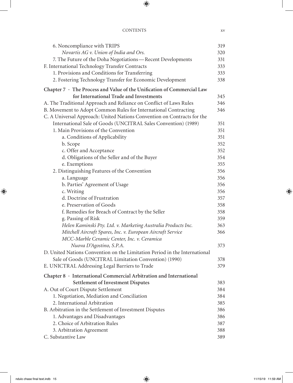## CONTENTS xv

| 6. Noncompliance with TRIPS                                                | 319 |
|----------------------------------------------------------------------------|-----|
| Novartis AG v. Union of India and Ors.                                     | 320 |
| 7. The Future of the Doha Negotiations-Recent Developments                 | 331 |
| F. International Technology Transfer Contracts                             | 333 |
| 1. Provisions and Conditions for Transferring                              | 333 |
| 2. Fostering Technology Transfer for Economic Development                  | 338 |
| Chapter 7 · The Process and Value of the Unification of Commercial Law     |     |
| for International Trade and Investments                                    | 345 |
| A. The Traditional Approach and Reliance on Conflict of Laws Rules         | 346 |
| B. Movement to Adopt Common Rules for International Contracting            | 346 |
| C. A Universal Approach: United Nations Convention on Contracts for the    |     |
| International Sale of Goods (UNCITRAL Sales Convention) (1989)             | 351 |
| 1. Main Provisions of the Convention                                       | 351 |
| a. Conditions of Applicability                                             | 351 |
| b. Scope                                                                   | 352 |
| c. Offer and Acceptance                                                    | 352 |
| d. Obligations of the Seller and of the Buyer                              | 354 |
| e. Exemptions                                                              | 355 |
| 2. Distinguishing Features of the Convention                               | 356 |
| a. Language                                                                | 356 |
| b. Parties' Agreement of Usage                                             | 356 |
| c. Writing                                                                 | 356 |
| d. Doctrine of Frustration                                                 | 357 |
| e. Preservation of Goods                                                   | 358 |
| f. Remedies for Breach of Contract by the Seller                           | 358 |
| g. Passing of Risk                                                         | 359 |
| Helen Kaminski Pty. Ltd. v. Marketing Australia Products Inc.              | 363 |
| Mitchell Aircraft Spares, Inc. v. European Aircraft Service                | 366 |
| MCC-Marble Ceramic Center, Inc. v. Ceramica                                |     |
| Nuova D'Agostino, S.P.A.                                                   | 373 |
| D. United Nations Convention on the Limitation Period in the International |     |
| Sale of Goods (UNCITRAL Limitation Convention) (1990)                      | 378 |
| E. UNICTRAL Addressing Legal Barriers to Trade                             | 379 |
| Chapter $8 \cdot$ International Commercial Arbitration and International   |     |
| <b>Settlement of Investment Disputes</b>                                   | 383 |
| A. Out of Court Dispute Settlement                                         | 384 |
| 1. Negotiation, Mediation and Conciliation                                 | 384 |
| 2. International Arbitration                                               | 385 |
| B. Arbitration in the Settlement of Investment Disputes                    | 386 |
| 1. Advantages and Disadvantages                                            | 386 |
| 2. Choice of Arbitration Rules                                             | 387 |
| 3. Arbitration Agreement                                                   | 388 |
| C. Substantive Law                                                         | 389 |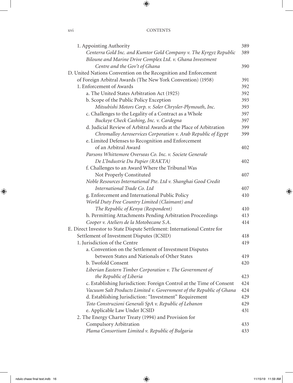| 1. Appointing Authority                                                  | 389 |
|--------------------------------------------------------------------------|-----|
| Centerra Gold Inc. and Kumtor Gold Company v. The Kyrgyz Republic        | 389 |
| Biloune and Marine Drive Complex Ltd. v. Ghana Investment                |     |
| Centre and the Gov't of Ghana                                            | 390 |
| D. United Nations Convention on the Recognition and Enforcement          |     |
| of Foreign Arbitral Awards (The New York Convention) (1958)              | 391 |
| 1. Enforcement of Awards                                                 | 392 |
| a. The United States Arbitration Act (1925)                              | 392 |
| b. Scope of the Public Policy Exception                                  | 393 |
| Mitsubishi Motors Corp. v. Soler Chrysler-Plymouth, Inc.                 | 393 |
| c. Challenges to the Legality of a Contract as a Whole                   | 397 |
| Buckeye Check Cashing, Inc. v. Cardegna                                  | 397 |
| d. Judicial Review of Arbitral Awards at the Place of Arbitration        | 399 |
| Chromalloy Aeroservices Corporation v. Arab Republic of Egypt            | 399 |
| e. Limited Defenses to Recognition and Enforcement                       |     |
| of an Arbitral Award                                                     | 402 |
| Parsons Whittemore Overseas Co. Inc. v. Societe Generale                 |     |
| De L'Industrie Du Papier (RAKTA)                                         | 402 |
| f. Challenges to an Award Where the Tribunal Was                         |     |
| Not Properly Constituted                                                 | 407 |
| Noble Resources International Pte. Ltd v. Shanghai Good Credit           |     |
| International Trade Co. Ltd                                              | 407 |
| g. Enforcement and International Public Policy                           | 410 |
| World Duty Free Country Limited (Claimant) and                           |     |
| The Republic of Kenya (Respondent)                                       | 410 |
| h. Permitting Attachments Pending Arbitration Proceedings                | 413 |
| Cooper v. Ateliers de la Motobecane S.A.                                 | 414 |
| E. Direct Investor to State Dispute Settlement: International Centre for |     |
| Settlement of Investment Disputes (ICSID)                                | 418 |
| 1. Jurisdiction of the Centre                                            | 419 |
| a. Convention on the Settlement of Investment Disputes                   |     |
| between States and Nationals of Other States                             | 419 |
| b. Twofold Consent                                                       | 420 |
| Liberian Eastern Timber Corporation v. The Government of                 |     |
| the Republic of Liberia                                                  | 423 |
| c. Establishing Jurisdiction: Foreign Control at the Time of Consent     | 424 |
| Vacuum Salt Products Limited v. Government of the Republic of Ghana      | 424 |
| d. Establishing Jurisdiction: "Investment" Requirement                   | 429 |
| Toto Construzioni Generali SpA v. Republic of Lebanon                    | 429 |
| e. Applicable Law Under ICSID                                            | 431 |
| 2. The Energy Charter Treaty (1994) and Provision for                    |     |
| Compulsory Arbitration                                                   | 433 |
| Plama Consortium Limited v. Republic of Bulgaria                         | 433 |
|                                                                          |     |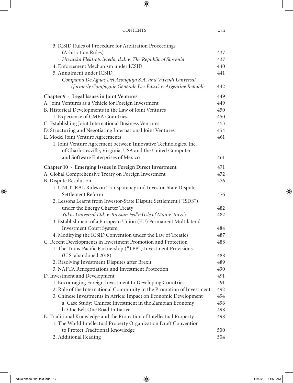| 3. ICSID Rules of Procedure for Arbitration Proceedings               |     |
|-----------------------------------------------------------------------|-----|
| (Arbitration Rules)                                                   | 437 |
| Hrvatska Elektroprivreda, d.d. v. The Republic of Slovenia            | 437 |
| 4. Enforcement Mechanism under ICSID                                  |     |
| 5. Annulment under ICSID                                              | 441 |
| Compania De Aguas Del Aconquija S.A. and Vivendi Universal            |     |
| (formerly Compagnie Générale Des Eaux) v. Argentine Republic          | 442 |
| Chapter 9 · Legal Issues in Joint Ventures                            | 449 |
| A. Joint Ventures as a Vehicle for Foreign Investment                 | 449 |
| B. Historical Developments in the Law of Joint Ventures               | 450 |
| 1. Experience of CMEA Countries                                       | 450 |
| C. Establishing Joint International Business Ventures                 | 453 |
| D. Structuring and Negotiating International Joint Ventures           | 454 |
| E. Model Joint Venture Agreements                                     | 461 |
| 1. Joint Venture Agreement between Innovative Technologies, Inc.      |     |
| of Charlottesville, Virginia, USA and the United Computer             |     |
| and Software Enterprises of Mexico                                    | 461 |
| Chapter 10 · Emerging Issues in Foreign Direct Investment             | 471 |
| A. Global Comprehensive Treaty on Foreign Investment                  | 472 |
| <b>B.</b> Dispute Resolution                                          | 476 |
| 1. UNCITRAL Rules on Transparency and Investor-State Dispute          |     |
| Settlement Reform                                                     | 476 |
| 2. Lessons Learnt from Investor-State Dispute Settlement ("ISDS")     |     |
| under the Energy Charter Treaty                                       | 482 |
| Yukos Universal Ltd. v. Russian Fed'n (Isle of Man v. Russ.)          | 482 |
| 3. Establishment of a European Union (EU) Permanent Multilateral      |     |
| <b>Investment Court System</b>                                        | 484 |
| 4. Modifying the ICSID Convention under the Law of Treaties           | 487 |
| C. Recent Developments in Investment Promotion and Protection         | 488 |
| 1. The Trans-Pacific Partnership ("TPP") Investment Provisions        |     |
| (U.S. abandoned 2018)                                                 | 488 |
| 2. Resolving Investment Disputes after Brexit                         | 489 |
| 3. NAFTA Renegotiations and Investment Protection                     | 490 |
| D. Investment and Development                                         | 491 |
| 1. Encouraging Foreign Investment to Developing Countries             | 491 |
| 2. Role of the International Community in the Promotion of Investment | 492 |
| 3. Chinese Investments in Africa: Impact on Economic Development      | 494 |
| a. Case Study: Chinese Investment in the Zambian Economy              | 496 |
| b. One Belt One Road Initiative                                       | 498 |
| E. Traditional Knowledge and the Protection of Intellectual Property  | 498 |
| 1. The World Intellectual Property Organization Draft Convention      |     |
| to Protect Traditional Knowledge                                      | 500 |
| 2. Additional Reading                                                 | 504 |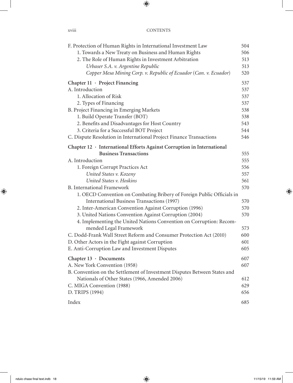| F. Protection of Human Rights in International Investment Law             | 504 |
|---------------------------------------------------------------------------|-----|
| 1. Towards a New Treaty on Business and Human Rights                      | 506 |
| 2. The Role of Human Rights in Investment Arbitration                     | 513 |
| Urbaser S.A. v. Argentine Republic                                        | 513 |
| Copper Mesa Mining Corp. v. Republic of Ecuador (Can. v. Ecuador)         | 520 |
| Chapter 11 · Project Financing                                            | 537 |
| A. Introduction                                                           | 537 |
| 1. Allocation of Risk                                                     | 537 |
| 2. Types of Financing                                                     | 537 |
| B. Project Financing in Emerging Markets                                  | 538 |
| 1. Build Operate Transfer (BOT)                                           | 538 |
| 2. Benefits and Disadvantages for Host Country                            | 543 |
| 3. Criteria for a Successful BOT Project                                  | 544 |
| C. Dispute Resolution in International Project Finance Transactions       | 546 |
| Chapter 12 · International Efforts Against Corruption in International    |     |
| <b>Business Transactions</b>                                              | 555 |
| A. Introduction                                                           | 555 |
| 1. Foreign Corrupt Practices Act                                          | 556 |
| United States v. Kozeny                                                   | 557 |
| United States v. Hoskins                                                  | 561 |
| <b>B.</b> International Framework                                         | 570 |
| 1. OECD Convention on Combating Bribery of Foreign Public Officials in    |     |
| International Business Transactions (1997)                                | 570 |
| 2. Inter-American Convention Against Corruption (1996)                    | 570 |
| 3. United Nations Convention Against Corruption (2004)                    | 570 |
| 4. Implementing the United Nations Convention on Corruption: Recom-       |     |
| mended Legal Framework                                                    | 573 |
| C. Dodd-Frank Wall Street Reform and Consumer Protection Act (2010)       | 600 |
| D. Other Actors in the Fight against Corruption                           | 601 |
| E. Anti-Corruption Law and Investment Disputes                            | 605 |
| Chapter $13 \cdot$ Documents                                              | 607 |
| A. New York Convention (1958)                                             | 607 |
| B. Convention on the Settlement of Investment Disputes Between States and |     |
| Nationals of Other States (1966, Amended 2006)                            | 612 |
| C. MIGA Convention (1988)                                                 | 629 |
| D. TRIPS (1994)                                                           | 656 |
| Index                                                                     | 685 |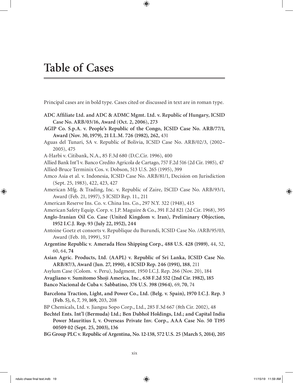Principal cases are in bold type. Cases cited or discussed in text are in roman type.

- **ADC Affiliate Ltd. and ADC & ADMC Mgmt. Ltd. v. Republic of Hungary, ICSID Case No. ARB/03/16, Award (Oct. 2, 2006), 273**
- **AGIP Co. S.p.A. v. People's Republic of the Congo, ICSID Case No. ARB/77/1, Award (Nov. 30, 1979), 21 I.L.M. 726 (1982), 262,** 431
- Aguas del Tunari, SA v. Republic of Bolivia, ICSID Case No. ARB/02/3, (2002– 2005), 475
- A-Harbi v. Citibank, N.A., 85 F.3d 680 (D.C.Cir. 1996), 400
- Allied Bank Int'l v. Banco Credito Agricola de Cartago, 757 F.2d 516 (2d Cir. 1985), 47 Allied-Bruce Terminix Cos. v. Dobson, 513 U.S. 265 (1995), 399
- Amco Asia et al. v. Indonesia, ICSID Case No. ARB/81/1, Decision on Jurisdiction (Sept. 25, 1983), 422, 423, 427
- American Mfg. & Trading, Inc. v. Republic of Zaire, ISCID Case No. ARB/93/1, Award (Feb. 21, 1997), 5 ICSID Rep. 11., 211
- American Reserve Ins. Co. v. China Ins. Co., 297 N.Y. 322 (1948), 415
- American Safety Equip. Corp. v. J.P. Maguire & Co., 391 F.2d 821 (2d Cir. 1968), 395
- **Anglo-Iranian Oil Co. Case (United Kingdom v. Iran), Preliminary Objection, 1952 I.C.J. Rep. 93 (July 22, 1952), 244**
- Antoine Goetz et consorts v. Republique du Burundi, ICSID Case No. /ARB/95/03, Award (Feb. 10, 1999), 517
- **Argentine Republic v. Amerada Hess Shipping Corp., 488 U.S. 428 (1989)**, 44, 52, 60, 64, **74**
- **Asian Agric. Products, Ltd. (AAPL) v. Republic of Sri Lanka, ICSID Case No. ARB/87/3, Award (Jun. 27, 1990), 4 ICSID Rep. 246 (1991), 188**, 211
- Asylum Case (Colom. v. Peru), Judgment, 1950 I.C.J. Rep. 266 (Nov. 20), 184
- **Avagliano v. Sumitomo Shoji America, Inc., 638 F.2d 552 (2nd Cir. 1982), 185**
- **Banco Nacional de Cuba v. Sabbatino, 376 U.S. 398 (1964)**, 69, **70**, 74
- **Barcelona Traction, Light, and Power Co., Ltd. (Belg. v. Spain), 1970 I.C.J. Rep. 3 (Feb. 5),** 6, **7**, 39, **169,** 203, 208
- BP Chemicals, Ltd. v. Jiangsu Sopo Corp., Ltd., 285 F.3d 667 (8th Cir. 2002), 48
- **Bechtel Ents. Int'l (Bermuda) Ltd.; Ben Dabhol Holdings, Ltd.; and Capital India Power Mauritius I, v. Overseas Private Inv. Corp., AAA Case No. 50 T195 00509 02 (Sept. 25, 2003), 136**
- **BG Group PLC v. Republic of Argentina, No. 12-138, 572 U.S. 25 (March 5, 2014), 205**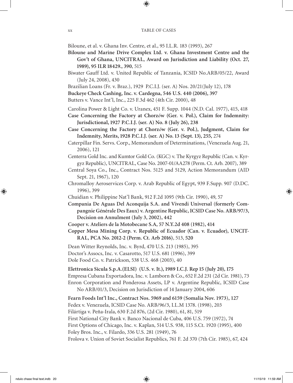Biloune, et al. v. Ghana Inv. Centre, et al., 95 I.L.R. 183 (1993), 267

- **Biloune and Marine Drive Complex Ltd. v. Ghana Investment Centre and the Gov't of Ghana, UNCITRAL, Award on Jurisdiction and Liability (Oct. 27, 1989), 95 ILR 18429., 390**, 515
- Biwater Gauff Ltd. v. United Republic of Tanzania, ICSID No.ARB/05/22, Award (July 24, 2008), 430
- Brazilian Loans (Fr. v. Braz.), 1929 P.C.I.J. (ser. A) Nos. 20/21(July 12), 178

**Buckeye Check Cashing, Inc. v. Cardegna, 546 U.S. 440 (2006), 397** 

Butters v. Vance Int'l, Inc., 225 F.3d 462 (4th Cir. 2000), 48

Carolina Power & Light Co. v. Uranex, 451 F. Supp. 1044 (N.D. Cal. 1977), 415, 418

**Case Concerning the Factory at Chorz***ó***w (Ger. v. Pol.), Claim for Indemnity: Jurisdictional, 1927 P.C.I.J. (ser. A) No. 8 (July 26), 238**

**Case Concerning the Factory at Chorz***ó***w (Ger. v. Pol.), Judgment, Claim for Indemnity, Merits, 1928 P.C.I.J. (ser. A) No. 13 (Sept. 13), 255,** 274

Caterpillar Fin. Servs. Corp., Memorandum of Determinations, (Venezuela Aug. 21, 2006), 121

Centerra Gold Inc. and Kumtor Gold Co. (KGC) v. The Kyrgyz Republic (Can. v. Kyrgyz Republic), UNCITRAL, Case No. 2007-01/AA278 (Perm. Ct. Arb. 2007), 389

Central Soya Co., Inc., Contract Nos. 5125 and 5129, Action Memorandum (AID Sept. 21, 1967), 120

- Chromalloy Aeroservices Corp. v. Arab Republic of Egypt, 939 F.Supp. 907 (D.DC. 1996), 399
- Chuidian v. Philippine Nat'l Bank, 912 F.2d 1095 (9th Cir. 1990), 49, 57

**Compania De Aguas Del Aconquija S.A. and Vivendi Universal (formerly Compangnie Générale Des Eaux) v. Argentine Republic, ICSID Case No. ARB/97/3, Decision on Annulment (July 3, 2002), 442** 

**Cooper v. Ateliers de la Motobecane S.A, 57 N.Y.2d 408 (1982), 414**

**Copper Mesa Mining Corp. v. Republic of Ecuador (Can. v. Ecuador), UNCIT-RAL, PCA No. 2012-2 (Perm. Ct. Arb 2016)**, 513, **520** 

Dean Witter Reynolds, Inc. v. Byrd, 470 U.S. 213 (1985), 395 Doctor's Assocs, Inc. v. Casarotto, 517 U.S. 681 (1996), 399 Dole Food Co. v. Patrickson, 538 U.S. 468 (2003), 40

**Elettronica Sicula S.p.A.(ELSI) (U.S. v. It.), 1989 I.C.J. Rep 15 (July 20), 175** Empresa Cubana Exportadora, Inc. v. Lamborn & Co., 652 F.2d 231 (2d Cir. 1981), 73 Enron Corporation and Ponderosa Assets, LP v. Argentine Republic, ICSID Case No ARB/01/3, Decision on Jurisdiction of 14 January 2004, 606

**Fearn Foods Int'l Inc., Contract Nos. 5969 and 6159 (Somalia Nov. 1973), 127**  Fedex v. Venezuela, ICSID Case No. ARB/96/3, I.L.M 1378. (1998), 203 Filártiga v. Peña-Irala, 630 F.2d 876, (2d Cir. 1980), 61, 81, 519 First National City Bank v. Banco Nacional de Cuba, 406 U.S. 759 (1972), 74 First Options of Chicago, Inc. v. Kaplan, 514 U.S. 938, 115 S.Ct. 1920 (1995), 400 Foley Bros. Inc., v. Filardo, 336 U.S. 281 (1949), 76 Frolova v. Union of Soviet Socialist Republics, 761 F. 2d 370 (7th Cir. 1985), 67, 424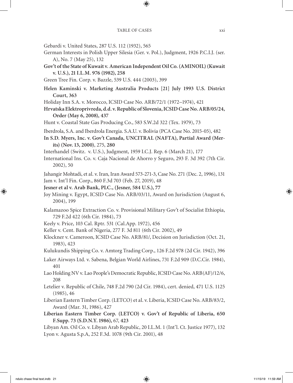- Gebardi v. United States, 287 U.S. 112 (1932), 565
- German Interests in Polish Upper Silesia (Ger. v. Pol.), Judgment, 1926 P.C.I.J. (ser. A), No. 7 (May 25), 132
- **Gov't of the State of Kuwait v. American Independent Oil Co. (AMINOIL) (Kuwait v. U.S.), 21 I.L.M. 976 (1982), 258**

Green Tree Fin. Corp. v. Bazzle, 539 U.S. 444 (2003), 399

- **Helen Kaminski v. Marketing Australia Products [21] July 1993 U.S. District Court, 363**
- Holiday Inn S.A. v. Morocco, ICSID Case No. ARB/72/1 (1972–1974), 421
- **Hrvatska Elektroprivreda, d.d. v. Republic of Slovenia, ICSID Case No. ARB/05/24, Order (May 6, 2008), 437**
- Hunt v. Coastal State Gas Producing Co., 583 S.W.2d 322 (Tex. 1979), 73
- Iberdrola, S.A. and Iberdrola Energia. S.A.U. v. Bolivia (PCA Case No. 2015-05), 482
- **In S.D. Myers, Inc. v. Gov't Canada, UNCITRAL (NAFTA), Partial Award (Merits) (Nov. 13, 2000)**, 275, **280**
- Interhandel (Switz. v. U.S.), Judgment, 1959 I.C.J. Rep. 6 (March 21), 177
- International Ins. Co. v. Caja Nacional de Ahorro y Seguro, 293 F. 3d 392 (7th Cir. 2002), 50
- Jahangir Mohtadi, et al. v. Iran, Iran Award 573-271-3, Case No. 271 (Dec. 2, 1996), 131 Jam v. Int'l Fin. Corp., 860 F.3d 703 (Feb. 27, 2019), 48
- **Jesner et al v. Arab Bank, PLC., (Jesner, 584 U.S.), 77**
- Joy Mining v. Egypt, ICSID Case No. ARB/03/11, Award on Jurisdiction (August 6, 2004), 199
- Kalamazoo Spice Extraction Co. v. Provisional Military Gov't of Socialist Ethiopia, 729 F.2d 422 (6th Cir. 1984), 73
- Keely v. Price, 103 Cal. Rptr. 531 (Cal.App. 1972), 456
- Keller v. Cent. Bank of Nigeria, 277 F. 3d 811 (6th Cir. 2002), 49
- Klockner v. Cameroon, ICSID Case No. ARB/81/, Decision on Jurisdiction (Oct. 21, 1983), 423
- Kulukundis Shipping Co. v. Amtorg Trading Corp., 126 F.2d 978 (2d Cir. 1942), 396
- Laker Airways Ltd. v. Sabena, Belgian World Airlines, 731 F.2d 909 (D.C.Cir. 1984), 401
- Lao Holding NV v. Lao People's Democratic Republic, ICSID Case No. ARB(AF)/12/6, 208
- Letelier v. Republic of Chile, 748 F.2d 790 (2d Cir. 1984), cert. denied, 471 U.S. 1125 (1985), 46
- Liberian Eastern Timber Corp. (LETCO) et al. v. Liberia, ICSID Case No. ARB/83/2, Award (Mar. 31, 1986), 427
- **Liberian Eastern Timber Corp. (LETCO) v. Gov't of Republic of Liberia, 650 F.Supp. 73 (S.D.N.Y. 1986),** 67, **423**
- Libyan Am. Oil Co. v. Libyan Arab Republic, 20 I.L.M. 1 (Int'l. Ct. Justice 1977), 132 Lyon v. Agusta S.p.A, 252 F.3d. 1078 (9th Cir. 2001), 48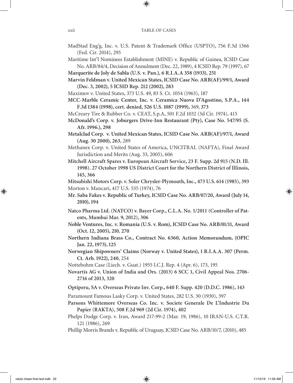- MadStad Eng'g, Inc. v. U.S. Patent & Trademark Office (USPTO), 756 F.3d 1366 (Fed. Cir. 2014), 295
- Maritime Int'l Nominees Establishment (MINE) v. Republic of Guinea, ICSID Case No. ARB/84/4, Decision of Annulment (Dec. 22, 1989), 4 ICSID Rep. 79 (1997), 67
- **Marquerite de Joly de Sabla (U.S. v. Pan.), 6 R.I.A.A 358 (1933), 251**
- **Marvin Feldman v. United Mexican States, ICSID Case No. ARB(AF)/99/1, Award (Dec. 3, 2002), 5 ICSID Rep. 212 (2002), 283**
- Maximov v. United States, 373 U.S. 49, 83 S. Ct. 1054 (1963), 187
- **MCC-Marble Ceramic Center, Inc. v. Ceramica Nuova D'Agostino, S.P.A., 144 F.3d 1384 (1998), cert. denied, 526 U.S. 1087 (1999),** 369, **373**
- McCreary Tire & Rubber Co. v. CEAT, S.p.A, 501 F.2d 1032 (3d Cir. 1974), 415
- **McDonald's Corp. v. Joburgers Drive-Inn Restaurant (Pty), Case No. 547/95 (S. Afr. 1996.), 298**
- **Metalclad Corp. v. United Mexican States, ICSID Case No. ARB(AF)/97/1, Award (Aug. 30 2000), 263**, 289
- Methanex Corp. v. United States of America, UNCITRAL (NAFTA), Final Award Jurisdiction and Merits (Aug. 33, 2005), 606
- **Mitchell Aircraft Spares v. European Aircraft Service, 23 F. Supp. 2d 915 (N.D. Ill. 1998). 27 October 1998 US District Court for the Northern District of Illinois, 145, 366**

**Mitsubishi Motors Corp. v. Soler Chrysler-Plymouth, Inc., 473 U.S. 614 (1985), 393** Morton v. Mancari, 417 U.S. 535 (1974), 76

- **Mr. Saba Fakes v. Republic of Turkey, ICSID Case No. ARB/07/20, Award (July 14, 2010), 194**
- **Natco Pharma Ltd. (NATCO) v. Bayer Corp., C.L.A. No. 1/2011 (Controller of Patents, Mumbai Mar. 9, 2012), 306**
- **Noble Ventures, Inc. v. Romania (U.S. v. Rom), ICSID Case No. ARB/01/11, Award (Oct. 12, 2005), 210**, **270**

**Northern Indiana Brass Co., Contract No. 6360, Action Memorandum, (OPIC Jan. 22, 1973), 125**

- **Norwegian Shipowners' Claims (Norway v. United States), 1 R.I.A.A. 307 (Perm. Ct. Arb. 1922), 240**, 254
- Nottebohm Case (Liech. v. Guat.) 1955 I.C.J. Rep. 4 (Apr. 6), 173, 195

- **Optiperu, SA v. Overseas Private Inv. Corp., 640 F. Supp. 420 (D.D.C. 1986), 143**
- Paramount Famous Lasky Corp. v. United States, 282 U.S. 30 (1930), 397

**Parsons Whittemore Overseas Co. Inc. v. Societe Generale De L'Industrie Du Papier (RAKTA), 508 F.2d 969 (2d Cir. 1974), 402** 

- Phelps Dodge Corp. v. Iran, Award 217-99-2 (Mar. 19, 1986), 10 IRAN-U.S. C.T.R. 121 (1986), 269
- Phillip Morris Brands v. Republic of Uruguay, ICSID Case No. ARB/10/7, (2010), 485

**Novartis AG v. Union of India and Ors. (2013) 6 SCC 1, Civil Appeal Nos. 2706- 2716 of 2013, 320**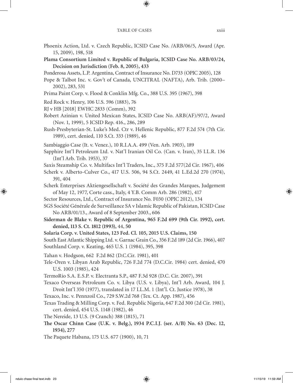- Phoenix Action, Ltd. v. Czech Republic, ICSID Case No. /ARB/06/5, Award (Apr. 15, 2009), 198, 518
- **Plama Consortium Limited v. Republic of Bulgaria, ICSID Case No. ARB/03/24, Decision on Jurisdiction (Feb. 8, 2005), 433**
- Ponderosa Assets, L.P. Argentina, Contract of Insurance No. D733 (OPIC 2005), 128
- Pope & Talbot Inc. v. Gov't of Canada, UNCITRAL (NAFTA), Arb. Trib. (2000– 2002), 283, 531
- Prima Paint Corp. v. Flood & Conklin Mfg. Co., 388 U.S. 395 (1967), 398
- Red Rock v. Henry, 106 U.S. 596 (1883), 76
- RJ v HB [2018] EWHC 2833 (Comm), 392
- Robert Azinian v. United Mexican States, ICSID Case No. ARB(AF)/97/2, Award (Nov. 1, 1999), 5 ICSID Rep. 416., 286, 289
- Rush-Presbyterian-St. Luke's Med. Ctr v. Hellenic Republic, 877 F.2d 574 (7th Cir. 1989), cert. denied, 110 S.Ct. 333 (1989), 46
- Sambiaggio Case (It. v. Venez.), 10 R.I.A.A. 499 (Ven. Arb. 1903), 189
- Sapphire Int'l Petroleum Ltd. v. Nat'l Iranian Oil Co. (Can. v. Iran), 35 I.L.R. 136 (Int'l Arb. Trib. 1953), 37
- Saxis Steamship Co. v. Multifacs Int'l Traders, Inc., 375 F.2d 577(2d Cir. 1967), 406
- Scherk v. Alberto-Culver Co., 417 U.S. 506, 94 S.Ct. 2449, 41 L.Ed.2d 270 (1974), 391, 404
- Scherk Enterprises Aktiengesellschaft v. Société des Grandes Marques, Judgement of May 12, 1977, Corte cass., Italy, 4 Y.B. Comm Arb. 286 (1982), 417
- Sector Resources, Ltd., Contract of Insurance No. F030 (OPIC 2012), 134
- SGS Société Générale de Surveillance SA v Islamic Republic of Pakistan, ICSID Case No ARB/01/13., Award of 8 September 2003., 606
- **Siderman de Blake v. Republic of Argentina, 965 F.2d 699 (9th Cir. 1992), cert. denied, 113 S. Ct. 1812 (1993),** 44, **50**
- **Solaria Corp. v. United States, 123 Fed. Cl. 105, 2015 U.S. Claims, 150**

South East Atlantic Shipping Ltd. v. Garnac Grain Co., 356 F.2d 189 (2d Cir. 1966), 407 Southland Corp. v. Keating, 465 U.S. 1 (1984), 395, 398

- Tahan v. Hodgson, 662 F.2d 862 (D.C.Cir. 1981), 401
- Tele-Oren v. Libyan Arab Republic, 726 F.2d 774 (D.C.Cir. 1984) cert. denied, 470 U.S. 1003 (1985), 424
- TermoRio S.A. E.S.P. v. Electranta S.P., 487 F.3d 928 (D.C. Cir. 2007), 391
- Texaco Overseas Petroleum Co. v. Libya (U.S. v. Libya), Int'l Arb. Award, 104 J. Droit Int'l 350 (1977), translated in 17 I.L.M. 1 (Int'l. Ct. Justice 1978), 38
- Texaco, Inc. v. Pennzoil Co., 729 S.W.2d 768 (Tex. Ct. App. 1987), 456
- Texas Trading & Milling Corp. v. Fed. Republic Nigeria, 647 F.2d 300 (2d Cir. 1981), cert. denied, 454 U.S. 1148 (1982), 46
- The Nereide, 13 U.S. (9 Cranch) 388 (1815), 71
- **The Oscar Chinn Case (U.K. v. Belg.), 1934 P.C.I.J. (ser. A/B) No. 63 (Dec. 12, 1934), 277**
- The Paquete Habana, 175 U.S. 677 (1900), 10, 71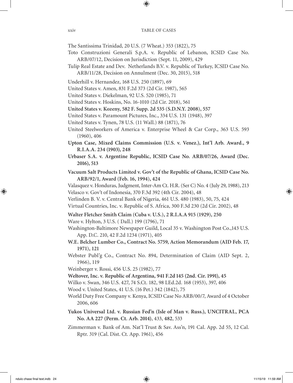The Santissima Trinidad, 20 U.S. (7 Wheat.) 353 (1822), 75

- Toto Construzioni Generali S.p.A. v. Republic of Lebanon, ICSID Case No. ARB/07/12, Decision on Jurisdiction (Sept. 11, 2009), 429
- Tulip Real Estate and Dev. Netherlands B.V. v. Republic of Turkey, ICSID Case No. ARB/11/28, Decision on Annulment (Dec. 30, 2015), 518
- Underhill v. Hernandez, 168 U.S. 250 (1897), 69
- United States v. Amen, 831 F.2d 373 (2d Cir. 1987), 565
- United States v. Diekelman, 92 U.S. 520 (1985), 71
- United States v. Hoskins, No. 16-1010 (2d Cir. 2018), 561
- **United States v. Kozeny, 582 F. Supp. 2d 535 (S.D.N.Y. 2008), 557**
- United States v. Paramount Pictures, Inc., 334 U.S. 131 (1948), 397
- United States v. Tynen, 78 U.S. (11 Wall.) 88 (1871), 76
- United Steelworkers of America v. Enterprise Wheel & Car Corp., 363 U.S. 593 (1960), 406
- **Upton Case, Mixed Claims Commission (U.S. v. Venez.), Int'l Arb. Award., 9 R.I.A.A. 234 (1903), 248**
- **Urbaser S.A. v. Argentine Republic, ICSID Case No. ARB/07/26, Award (Dec. 2016), 513**
- **Vacuum Salt Products Limited v. Gov't of the Republic of Ghana, ICSID Case No. ARB/92/1, Award (Feb. 16, 1994), 424**

Valasquez v. Honduras, Judgment, Inter-Am Ct. H.R. (Ser C) No. 4 (July 29, 1988), 213 Velasco v. Gov't of Indonesia, 370 F.3d 392 (4th Cir. 2004), 48

- Verlinden B. V. v. Central Bank of Nigeria, 461 U.S. 480 (1983), 50, 75, 424
- Virtual Countries, Inc. v. Republic of S. Africa, 300 F.3d 230 (2d Cir. 2002), 48
- **Walter Fletcher Smith Claim (Cuba v. U.S.), 2 R.I.A.A 915 (1929), 250**

Ware v. Hylton, 3 U.S. ( Dall.) 199 (1796), 71

- Washington-Baltimore Newspaper Guild, Local 35 v. Washington Post Co.,143 U.S. App. D.C. 210, 42 F.2d 1234 (1971), 405
- **W.E. Belcher Lumber Co., Contract No. 5759, Action Memorandum (AID Feb. 17, 1971), 121**
- Webster Publ'g Co., Contract No. 894, Determination of Claim (AID Sept. 2, 1966), 119
- Weinberger v. Rossi, 456 U.S. 25 (1982), 77
- **Weltover, Inc. v. Republic of Argentina, 941 F.2d 145 (2nd. Cir. 1991), 45**
- Wilko v. Swan, 346 U.S. 427, 74 S.Ct. 182, 98 LEd.2d. 168 (1953), 397, 406
- Wood v. United States, 41 U.S. (16 Pet.) 342 (1842), 75
- World Duty Free Company v. Kenya, ICSID Case No ARB/00/7, Award of 4 October 2006, 606
- **Yukos Universal Ltd. v. Russian Fed'n (Isle of Man v. Russ.), UNCITRAL, PCA No. AA 227 (Perm. Ct. Arb. 2014)**, 433, **482**, 533
- Zimmerman v. Bank of Am. Nat'l Trust & Sav. Ass'n, 191 Cal. App. 2d 55, 12 Cal. Rptr. 319 (Cal. Dist. Ct. App. 1961), 456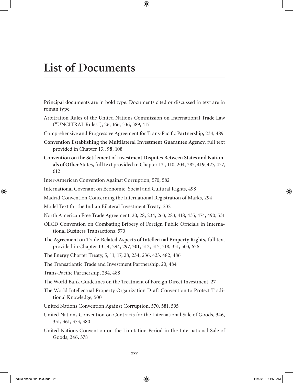Principal documents are in bold type. Documents cited or discussed in text are in roman type.

- Arbitration Rules of the United Nations Commission on International Trade Law ("UNCITRAL Rules"), 26, 166, 336, 389, 417
- Comprehensive and Progressive Agreement for Trans-Pacific Partnership, 234, 489
- **Convention Establishing the Multilateral Investment Guarantee Agency**, full text provided in Chapter 13., **98**, 108
- **Convention on the Settlement of Investment Disputes Between States and Nationals of Other States**, full text provided in Chapter 13., 110, 204, 385, **419**, 427, 437, 612
- Inter-American Convention Against Corruption, 570, 582
- International Covenant on Economic, Social and Cultural Rights, 498
- Madrid Convention Concerning the International Registration of Marks, 294
- Model Text for the Indian Bilateral Investment Treaty, 232
- North American Free Trade Agreement, 20, 28, 234, 263, 283, 418, 435, 474, 490, 531
- OECD Convention on Combating Bribery of Foreign Public Officials in International Business Transactions, 570
- **The Agreement on Trade-Related Aspects of Intellectual Property Rights**, full text provided in Chapter 13., 4, 294, 297, **301**, 312, 315, 318, 331, 503, 656
- The Energy Charter Treaty, 5, 11, 17, 28, 234, 236, 433, 482, 486
- The Transatlantic Trade and Investment Partnership, 20, 484
- Trans-Pacific Partnership, 234, 488
- The World Bank Guidelines on the Treatment of Foreign Direct Investment, 27
- The World Intellectual Property Organization Draft Convention to Protect Traditional Knowledge, 500
- United Nations Convention Against Corruption, 570, 581, 595
- United Nations Convention on Contracts for the International Sale of Goods, 346, 351, 361, 373, 380
- United Nations Convention on the Limitation Period in the International Sale of Goods, 346, 378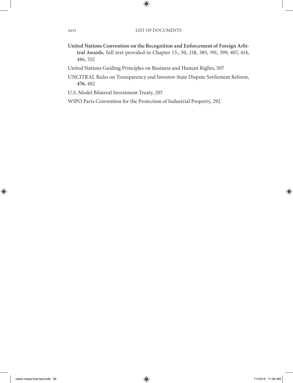- **United Nations Convention on the Recognition and Enforcement of Foreign Arbitral Awards**, full text provided in Chapter 13., 50, 218, 385, 391, 399, 407, 414, 486, 552
- United Nations Guiding Principles on Business and Human Rights, 507
- UNCITRAL Rules on Transparency and Investor-State Dispute Settlement Reform, **476**, 482
- U.S. Model Bilateral Investment Treaty, 207
- WIPO Paris Convention for the Protection of Industrial Property, 292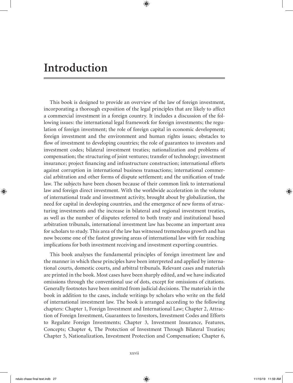## **Introduction**

This book is designed to provide an overview of the law of foreign investment, incorporating a thorough exposition of the legal principles that are likely to affect a commercial investment in a foreign country. It includes a discussion of the following issues: the international legal framework for foreign investments; the regulation of foreign investment; the role of foreign capital in economic development; foreign investment and the environment and human rights issues; obstacles to flow of investment to developing countries; the role of guarantees to investors and investment codes; bilateral investment treaties; nationalization and problems of compensation; the structuring of joint ventures; transfer of technology; investment insurance; project financing and infrastructure construction; international efforts against corruption in international business transactions; international commercial arbitration and other forms of dispute settlement; and the unification of trade law. The subjects have been chosen because of their common link to international law and foreign direct investment. With the worldwide acceleration in the volume of international trade and investment activity, brought about by globalization, the need for capital in developing countries, and the emergence of new forms of structuring investments and the increase in bilateral and regional investment treaties, as well as the number of disputes referred to both treaty and institutional based arbitration tribunals, international investment law has become an important area for scholars to study. This area of the law has witnessed tremendous growth and has now become one of the fastest growing areas of international law with far reaching implications for both investment receiving and investment exporting countries.

This book analyses the fundamental principles of foreign investment law and the manner in which these principles have been interpreted and applied by international courts, domestic courts, and arbitral tribunals. Relevant cases and materials are printed in the book. Most cases have been sharply edited, and we have indicated omissions through the conventional use of dots, except for omissions of citations. Generally footnotes have been omitted from judicial decisions. The materials in the book in addition to the cases, include writings by scholars who write on the field of international investment law. The book is arranged according to the following chapters: Chapter 1, Foreign Investment and International Law; Chapter 2, Attraction of Foreign Investment, Guarantees to Investors, Investment Codes and Efforts to Regulate Foreign Investments; Chapter 3, Investment Insurance, Features, Concepts; Chapter 4, The Protection of Investment Through Bilateral Treaties; Chapter 5, Nationalization, Investment Protection and Compensation; Chapter 6,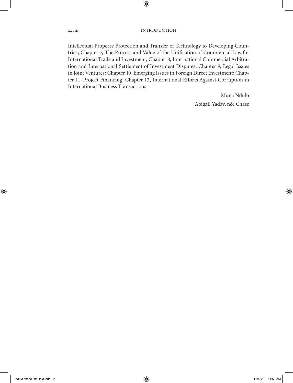Intellectual Property Protection and Transfer of Technology to Developing Countries; Chapter 7, The Process and Value of the Unification of Commercial Law for International Trade and Investment; Chapter 8, International Commercial Arbitration and International Settlement of Investment Disputes; Chapter 9, Legal Issues in Joint Ventures; Chapter 10, Emerging Issues in Foreign Direct Investment; Chapter 11, Project Financing; Chapter 12, International Efforts Against Corruption in International Business Transactions.

> Muna Ndulo Abigail Yadav, née Chase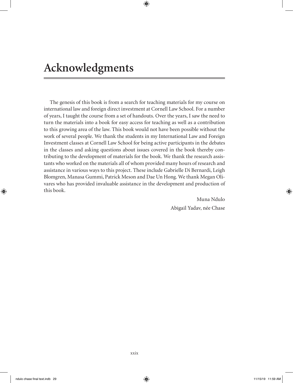The genesis of this book is from a search for teaching materials for my course on international law and foreign direct investment at Cornell Law School. For a number of years, I taught the course from a set of handouts. Over the years, I saw the need to turn the materials into a book for easy access for teaching as well as a contribution to this growing area of the law. This book would not have been possible without the work of several people. We thank the students in my International Law and Foreign Investment classes at Cornell Law School for being active participants in the debates in the classes and asking questions about issues covered in the book thereby contributing to the development of materials for the book. We thank the research assistants who worked on the materials all of whom provided many hours of research and assistance in various ways to this project. These include Gabrielle Di Bernardi, Leigh Blomgren, Manasa Gummi, Patrick Meson and Dae Un Hong. We thank Megan Olivares who has provided invaluable assistance in the development and production of this book.

> Muna Ndulo Abigail Yadav, née Chase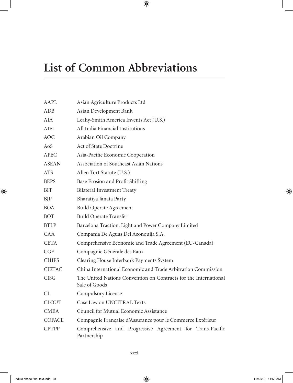# **List of Common Abbreviations**

| AAPL          | Asian Agriculture Products Ltd                                                    |
|---------------|-----------------------------------------------------------------------------------|
| ADB           | Asian Development Bank                                                            |
| AIA           | Leahy-Smith America Invents Act (U.S.)                                            |
| <b>AIFI</b>   | All India Financial Institutions                                                  |
| <b>AOC</b>    | Arabian Oil Company                                                               |
| AoS           | <b>Act of State Doctrine</b>                                                      |
| APEC          | Asia-Pacific Economic Cooperation                                                 |
| <b>ASEAN</b>  | Association of Southeast Asian Nations                                            |
| <b>ATS</b>    | Alien Tort Statute (U.S.)                                                         |
| <b>BEPS</b>   | Base Erosion and Profit Shifting                                                  |
| <b>BIT</b>    | <b>Bilateral Investment Treaty</b>                                                |
| <b>BJP</b>    | Bharatiya Janata Party                                                            |
| BOA.          | <b>Build Operate Agreement</b>                                                    |
| <b>BOT</b>    | <b>Build Operate Transfer</b>                                                     |
| <b>BTLP</b>   | Barcelona Traction, Light and Power Company Limited                               |
| <b>CAA</b>    | Compania De Aguas Del Aconquija S.A.                                              |
| <b>CETA</b>   | Comprehensive Economic and Trade Agreement (EU-Canada)                            |
| CGE           | Compagnie Générale des Eaux                                                       |
| <b>CHIPS</b>  | Clearing House Interbank Payments System                                          |
| <b>CIETAC</b> | China International Economic and Trade Arbitration Commission                     |
| <b>CISG</b>   | The United Nations Convention on Contracts for the International<br>Sale of Goods |
| CL            | Compulsory License                                                                |
| <b>CLOUT</b>  | Case Law on UNCITRAL Texts                                                        |
| <b>CMEA</b>   | Council for Mutual Economic Assistance                                            |
| <b>COFACE</b> | Compagnie Française d'Assurance pour le Commerce Extérieur                        |
| <b>CPTPP</b>  | Comprehensive and Progressive Agreement for Trans-Pacific<br>Partnership          |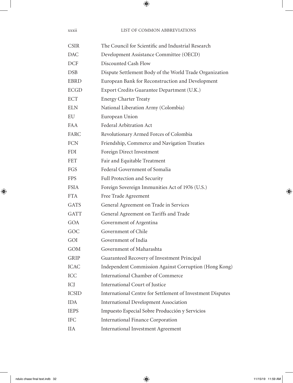| <b>CSIR</b>  | The Council for Scientific and Industrial Research         |
|--------------|------------------------------------------------------------|
| <b>DAC</b>   | Development Assistance Committee (OECD)                    |
| <b>DCF</b>   | Discounted Cash Flow                                       |
| <b>DSB</b>   | Dispute Settlement Body of the World Trade Organization    |
| <b>EBRD</b>  | European Bank for Reconstruction and Development           |
| <b>ECGD</b>  | Export Credits Guarantee Department (U.K.)                 |
| <b>ECT</b>   | <b>Energy Charter Treaty</b>                               |
| <b>ELN</b>   | National Liberation Army (Colombia)                        |
| EU           | European Union                                             |
| FA A         | Federal Arbitration Act                                    |
| FARC         | Revolutionary Armed Forces of Colombia                     |
| <b>FCN</b>   | Friendship, Commerce and Navigation Treaties               |
| <b>FDI</b>   | Foreign Direct Investment                                  |
| <b>FET</b>   | Fair and Equitable Treatment                               |
| <b>FGS</b>   | Federal Government of Somalia                              |
| <b>FPS</b>   | Full Protection and Security                               |
| <b>FSIA</b>  | Foreign Sovereign Immunities Act of 1976 (U.S.)            |
| <b>FTA</b>   | Free Trade Agreement                                       |
| <b>GATS</b>  | General Agreement on Trade in Services                     |
| <b>GATT</b>  | General Agreement on Tariffs and Trade                     |
| GOA          | Government of Argentina                                    |
| GOC          | Government of Chile                                        |
| GOI          | Government of India                                        |
| <b>GOM</b>   | Government of Maharashta                                   |
| GRIP         | Guaranteed Recovery of Investment Principal                |
| <b>ICAC</b>  | Independent Commission Against Corruption (Hong Kong)      |
| <b>ICC</b>   | <b>International Chamber of Commerce</b>                   |
| ICJ          | International Court of Justice                             |
| <b>ICSID</b> | International Centre for Settlement of Investment Disputes |
| <b>IDA</b>   | <b>International Development Association</b>               |
| <b>IEPS</b>  | Impuesto Especial Sobre Producción y Servicios             |
| <b>IFC</b>   | <b>International Finance Corporation</b>                   |
| IIA          | <b>International Investment Agreement</b>                  |

xxxii LIST OF COMMON ABBREVIATIONS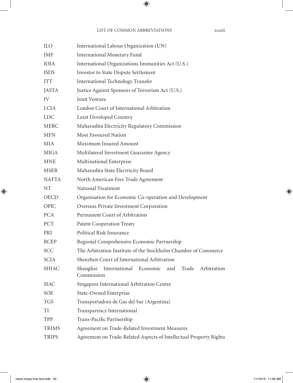| ILO          | International Labour Organization (UN)                              |
|--------------|---------------------------------------------------------------------|
| IMF          | <b>International Monetary Fund</b>                                  |
| <b>IOIA</b>  | International Organizations Immunities Act (U.S.)                   |
| <b>ISDS</b>  | Investor to State Dispute Settlement                                |
| <b>ITT</b>   | <b>International Technology Transfer</b>                            |
| <b>JASTA</b> | Justice Against Sponsors of Terrorism Act (U.S.)                    |
| JV           | Joint Venture                                                       |
| <b>LCIA</b>  | London Court of International Arbitration                           |
| <b>LDC</b>   | Least Developed Country                                             |
| <b>MERC</b>  | Maharashta Electricity Regulatory Commission                        |
| <b>MFN</b>   | <b>Most Favoured Nation</b>                                         |
| MIA          | Maximum Insured Amount                                              |
| <b>MIGA</b>  | Multilateral Investment Guarantee Agency                            |
| <b>MNE</b>   | Multinational Enterprise                                            |
| <b>MSEB</b>  | Maharashta State Electricity Board                                  |
| <b>NAFTA</b> | North American Free Trade Agreement                                 |
| NT           | National Treatment                                                  |
| <b>OECD</b>  | Organisation for Economic Co-operation and Development              |
| OPIC         | Overseas Private Investment Corporation                             |
| <b>PCA</b>   | Permanent Court of Arbitration                                      |
| PCT          | <b>Patent Cooperation Treaty</b>                                    |
| PRI          | Political Risk Insurance                                            |
| <b>RCEP</b>  | Regional Comprehensive Economic Partnership                         |
| SCC          | The Arbitration Institute of the Stockholm Chamber of Commerce      |
| <b>SCIA</b>  | Shenzhen Court of International Arbitration                         |
| SHIAC        | Shanghai International Economic and Trade Arbitration<br>Commission |
| <b>SIAC</b>  | Singapore International Arbitration Centre                          |
| SOE          | State-Owned Enterprise                                              |
| <b>TGS</b>   | Transportadora de Gas del Sur (Argentina)                           |
| TI           | Transparency International                                          |
| TPP          | Trans-Pacific Partnership                                           |
| <b>TRIMS</b> | Agreement on Trade-Related Investment Measures                      |
| <b>TRIPS</b> | Agreement on Trade-Related Aspects of Intellectual Property Rights  |
|              |                                                                     |